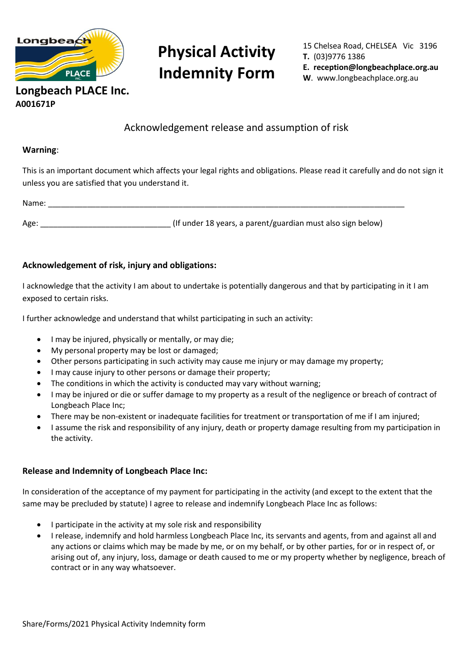

# **Physical Activity Indemnity Form**

15 Chelsea Road, CHELSEA Vic 3196 **T.** (03)9776 1386 **E. reception@longbeachplace.org.au W**. www.longbeachplace.org.au

## Acknowledgement release and assumption of risk

#### **Warning**:

**A001671P**

This is an important document which affects your legal rights and obligations. Please read it carefully and do not sign it unless you are satisfied that you understand it.

Name: \_\_\_\_\_\_\_\_\_\_\_\_\_\_\_\_\_\_\_\_\_\_\_\_\_\_\_\_\_\_\_\_\_\_\_\_\_\_\_\_\_\_\_\_\_\_\_\_\_\_\_\_\_\_\_\_\_\_\_\_\_\_\_\_\_\_\_\_\_\_\_\_\_\_\_\_\_\_\_\_\_\_

Age: example and the latter of the latter of the latter than the latter than the latter of the latter than the latter than the latter than the latter than the latter than the latter than the latter than the latter than the

#### **Acknowledgement of risk, injury and obligations:**

I acknowledge that the activity I am about to undertake is potentially dangerous and that by participating in it I am exposed to certain risks.

I further acknowledge and understand that whilst participating in such an activity:

- I may be injured, physically or mentally, or may die;
- My personal property may be lost or damaged;
- Other persons participating in such activity may cause me injury or may damage my property;
- I may cause injury to other persons or damage their property;
- The conditions in which the activity is conducted may vary without warning;
- I may be injured or die or suffer damage to my property as a result of the negligence or breach of contract of Longbeach Place Inc;
- There may be non-existent or inadequate facilities for treatment or transportation of me if I am injured;
- I assume the risk and responsibility of any injury, death or property damage resulting from my participation in the activity.

#### **Release and Indemnity of Longbeach Place Inc:**

In consideration of the acceptance of my payment for participating in the activity (and except to the extent that the same may be precluded by statute) I agree to release and indemnify Longbeach Place Inc as follows:

- I participate in the activity at my sole risk and responsibility
- I release, indemnify and hold harmless Longbeach Place Inc, its servants and agents, from and against all and any actions or claims which may be made by me, or on my behalf, or by other parties, for or in respect of, or arising out of, any injury, loss, damage or death caused to me or my property whether by negligence, breach of contract or in any way whatsoever.